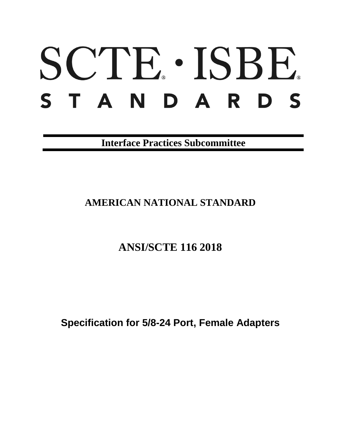# SCTE · ISBE. S T A N D A R D S

**Interface Practices Subcommittee**

# **AMERICAN NATIONAL STANDARD**

# **ANSI/SCTE 116 2018**

**Specification for 5/8-24 Port, Female Adapters**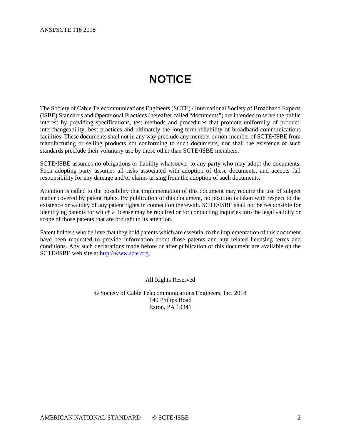# **NOTICE**

<span id="page-1-0"></span>The Society of Cable Telecommunications Engineers (SCTE) / International Society of Broadband Experts (ISBE) Standards and Operational Practices (hereafter called "documents") are intended to serve the public interest by providing specifications, test methods and procedures that promote uniformity of product, interchangeability, best practices and ultimately the long-term reliability of broadband communications facilities. These documents shall not in any way preclude any member or non-member of SCTE•ISBE from manufacturing or selling products not conforming to such documents, nor shall the existence of such standards preclude their voluntary use by those other than SCTE•ISBE members.

SCTE•ISBE assumes no obligations or liability whatsoever to any party who may adopt the documents. Such adopting party assumes all risks associated with adoption of these documents, and accepts full responsibility for any damage and/or claims arising from the adoption of such documents.

Attention is called to the possibility that implementation of this document may require the use of subject matter covered by patent rights. By publication of this document, no position is taken with respect to the existence or validity of any patent rights in connection therewith. SCTE•ISBE shall not be responsible for identifying patents for which a license may be required or for conducting inquiries into the legal validity or scope of those patents that are brought to its attention.

Patent holders who believe that they hold patents which are essential to the implementation of this document have been requested to provide information about those patents and any related licensing terms and conditions. Any such declarations made before or after publication of this document are available on the SCTE•ISBE web site at [http://www.scte.org.](http://www.scte.org/)

All Rights Reserved

© Society of Cable Telecommunications Engineers, Inc. 2018 140 Philips Road Exton, PA 19341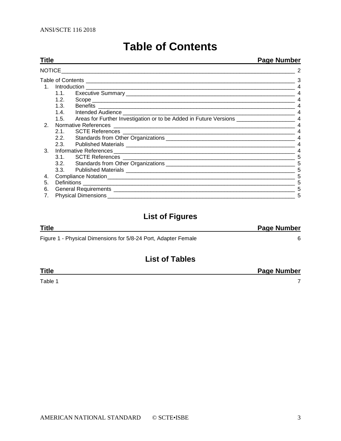<span id="page-2-0"></span>

| Title          |      | Page Number |                |  |  |
|----------------|------|-------------|----------------|--|--|
|                |      | 2           |                |  |  |
|                |      |             | 3              |  |  |
|                |      |             | $\overline{4}$ |  |  |
|                |      |             |                |  |  |
|                | 1.2. |             |                |  |  |
|                | 1.3. |             |                |  |  |
|                |      |             | $\overline{4}$ |  |  |
|                |      |             |                |  |  |
| 2 <sub>1</sub> |      |             | $\overline{4}$ |  |  |
|                | 2.1. |             |                |  |  |
|                |      |             |                |  |  |
|                |      |             |                |  |  |
| 3.             |      |             |                |  |  |
|                |      |             | 5              |  |  |
|                |      |             | 5              |  |  |
|                |      |             | 5              |  |  |
| 4.             |      |             | 5              |  |  |
| 5.             |      |             | 5              |  |  |
| 6.             |      |             | 5              |  |  |
| 7.             |      |             |                |  |  |

# **Table of Contents**

# **List of Figures**

| <b>Title</b>                                                   | <b>Page Number</b> |
|----------------------------------------------------------------|--------------------|
| Figure 1 - Physical Dimensions for 5/8-24 Port, Adapter Female |                    |

# **List of Tables**

[Table 1](#page-6-0) and 1 and 1 and 1 and 1 and 1 and 1 and 1 and 1 and 1 and 1 and 1 and 1 and 1 and 1 and 1 and 1 and 1

**Title Page Number**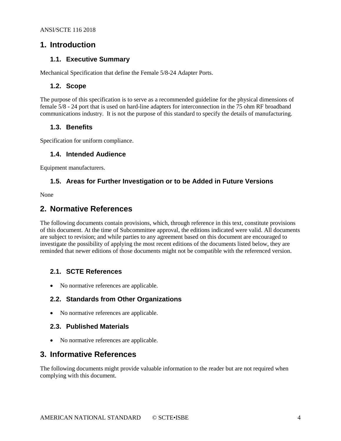#### <span id="page-3-1"></span><span id="page-3-0"></span>**1. Introduction**

#### **1.1. Executive Summary**

<span id="page-3-2"></span>Mechanical Specification that define the Female 5/8-24 Adapter Ports.

#### **1.2. Scope**

The purpose of this specification is to serve as a recommended guideline for the physical dimensions of female 5/8 - 24 port that is used on hard-line adapters for interconnection in the 75 ohm RF broadband communications industry. It is not the purpose of this standard to specify the details of manufacturing.

#### <span id="page-3-3"></span>**1.3. Benefits**

<span id="page-3-4"></span>Specification for uniform compliance.

#### **1.4. Intended Audience**

<span id="page-3-5"></span>Equipment manufacturers.

#### **1.5. Areas for Further Investigation or to be Added in Future Versions**

<span id="page-3-6"></span>None

#### **2. Normative References**

The following documents contain provisions, which, through reference in this text, constitute provisions of this document. At the time of Subcommittee approval, the editions indicated were valid. All documents are subject to revision; and while parties to any agreement based on this document are encouraged to investigate the possibility of applying the most recent editions of the documents listed below, they are reminded that newer editions of those documents might not be compatible with the referenced version.

#### <span id="page-3-7"></span>**2.1. SCTE References**

<span id="page-3-8"></span>• No normative references are applicable.

#### **2.2. Standards from Other Organizations**

<span id="page-3-9"></span>• No normative references are applicable.

#### **2.3. Published Materials**

• No normative references are applicable.

### <span id="page-3-10"></span>**3. Informative References**

The following documents might provide valuable information to the reader but are not required when complying with this document.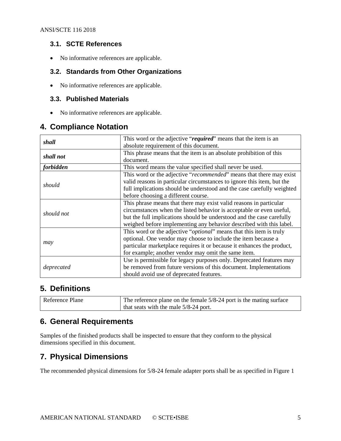#### <span id="page-4-0"></span>**3.1. SCTE References**

<span id="page-4-1"></span>• No informative references are applicable.

#### **3.2. Standards from Other Organizations**

<span id="page-4-2"></span>• No informative references are applicable.

#### **3.3. Published Materials**

• No informative references are applicable.

## <span id="page-4-3"></span>**4. Compliance Notation**

| shall      | This word or the adjective "required" means that the item is an              |  |  |  |  |
|------------|------------------------------------------------------------------------------|--|--|--|--|
|            | absolute requirement of this document.                                       |  |  |  |  |
| shall not  | This phrase means that the item is an absolute prohibition of this           |  |  |  |  |
|            | document.                                                                    |  |  |  |  |
| forbidden  | This word means the value specified shall never be used.                     |  |  |  |  |
|            | This word or the adjective "recommended" means that there may exist          |  |  |  |  |
|            | valid reasons in particular circumstances to ignore this item, but the       |  |  |  |  |
| should     | full implications should be understood and the case carefully weighted       |  |  |  |  |
|            | before choosing a different course.                                          |  |  |  |  |
|            | This phrase means that there may exist valid reasons in particular           |  |  |  |  |
| should not | circumstances when the listed behavior is acceptable or even useful,         |  |  |  |  |
|            | but the full implications should be understood and the case carefully        |  |  |  |  |
|            | weighed before implementing any behavior described with this label.          |  |  |  |  |
|            | This word or the adjective " <i>optional</i> " means that this item is truly |  |  |  |  |
|            | optional. One vendor may choose to include the item because a                |  |  |  |  |
| may        | particular marketplace requires it or because it enhances the product,       |  |  |  |  |
|            | for example; another vendor may omit the same item.                          |  |  |  |  |
|            | Use is permissible for legacy purposes only. Deprecated features may         |  |  |  |  |
| deprecated | be removed from future versions of this document. Implementations            |  |  |  |  |
|            | should avoid use of deprecated features.                                     |  |  |  |  |
|            |                                                                              |  |  |  |  |

## <span id="page-4-4"></span>**5. Definitions**

| Reference Plane | The reference plane on the female 5/8-24 port is the mating surface |  |  |  |
|-----------------|---------------------------------------------------------------------|--|--|--|
|                 | that seats with the male $5/8-24$ port.                             |  |  |  |

## <span id="page-4-5"></span>**6. General Requirements**

Samples of the finished products shall be inspected to ensure that they conform to the physical dimensions specified in this document.

## <span id="page-4-6"></span>**7. Physical Dimensions**

The recommended physical dimensions for 5/8-24 female adapter ports shall be as specified in [Figure 1](#page-5-0)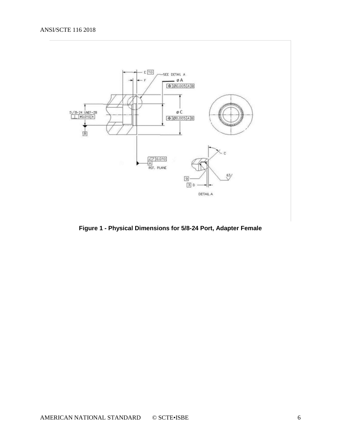#### ANSI/SCTE 116 2018



<span id="page-5-0"></span>**Figure 1 - Physical Dimensions for 5/8-24 Port, Adapter Female**